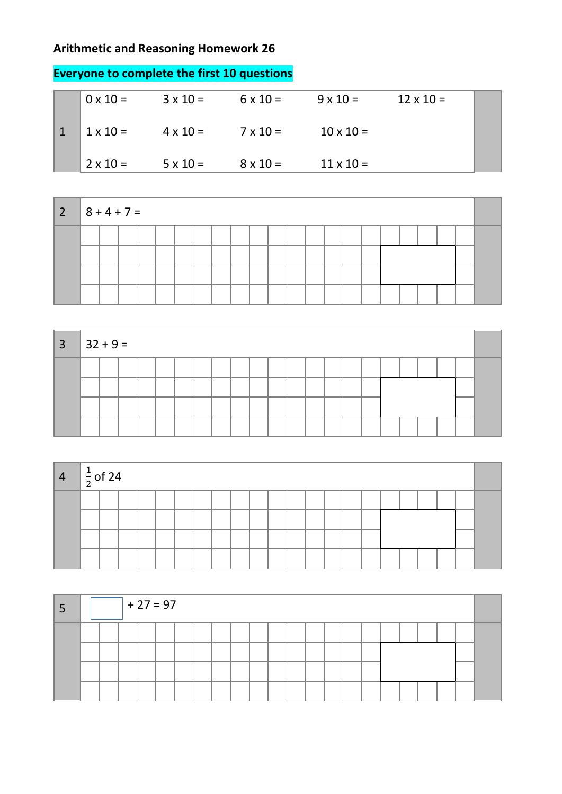## **Arithmetic and Reasoning Homework 26**

| $\vert 0 \times 10 =$ | $3 \times 10 =$ | $6 \times 10 =$ | $9 \times 10 =$  | $12 \times 10 =$ |  |
|-----------------------|-----------------|-----------------|------------------|------------------|--|
| $1 \times 10 =$       | $4 \times 10 =$ | $7 \times 10 =$ | $10 \times 10 =$ |                  |  |
| $2 \times 10 =$       | $5 \times 10 =$ | $8 \times 10 =$ | $11 \times 10 =$ |                  |  |

| Everyone to complete the first 10 questions |  |  |
|---------------------------------------------|--|--|
|---------------------------------------------|--|--|

| $2^{\circ}$ | $8 + 4 + 7 =$ |  |  |  |  |  |  |  |  |  |  |  |
|-------------|---------------|--|--|--|--|--|--|--|--|--|--|--|
|             |               |  |  |  |  |  |  |  |  |  |  |  |
|             |               |  |  |  |  |  |  |  |  |  |  |  |
|             |               |  |  |  |  |  |  |  |  |  |  |  |
|             |               |  |  |  |  |  |  |  |  |  |  |  |

| $\overline{3}$ | $32 + 9 =$ |  |  |  |  |  |  |  |  |  |  |  |
|----------------|------------|--|--|--|--|--|--|--|--|--|--|--|
|                |            |  |  |  |  |  |  |  |  |  |  |  |
|                |            |  |  |  |  |  |  |  |  |  |  |  |
|                |            |  |  |  |  |  |  |  |  |  |  |  |
|                |            |  |  |  |  |  |  |  |  |  |  |  |

| $\overline{4}$ | $\frac{1}{2}$ of 24 |  |  |  |  |  |  |  |  |  |  |
|----------------|---------------------|--|--|--|--|--|--|--|--|--|--|
|                |                     |  |  |  |  |  |  |  |  |  |  |
|                |                     |  |  |  |  |  |  |  |  |  |  |
|                |                     |  |  |  |  |  |  |  |  |  |  |
|                |                     |  |  |  |  |  |  |  |  |  |  |

|  |  | $+27=97$ |  |  |  |  |  |  |  |  |  |
|--|--|----------|--|--|--|--|--|--|--|--|--|
|  |  |          |  |  |  |  |  |  |  |  |  |
|  |  |          |  |  |  |  |  |  |  |  |  |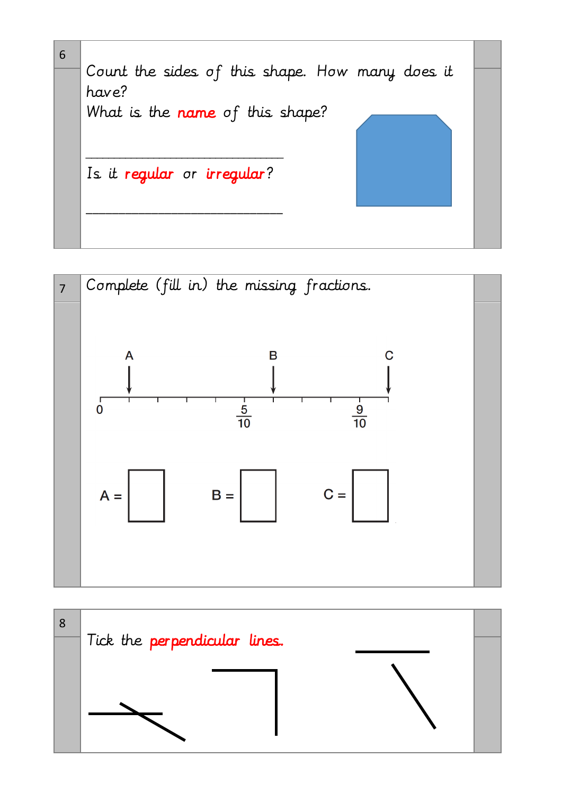



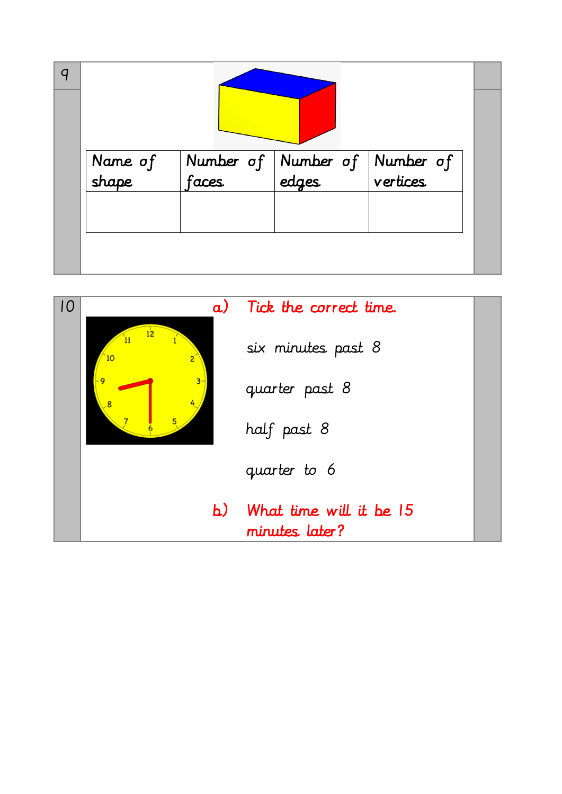| G |                  |                                                       |  |
|---|------------------|-------------------------------------------------------|--|
|   | Name of<br>shape | Number of Number of Number of<br>faces edges vertices |  |
|   |                  |                                                       |  |

| 10 | $\alpha$ )            | Tick the correct time.                    |  |
|----|-----------------------|-------------------------------------------|--|
|    | $\overline{12}$<br>10 | six minutes past 8                        |  |
|    |                       | quarter past 8                            |  |
|    |                       | half past 8                               |  |
|    |                       | quarter to 6                              |  |
|    | b.)                   | What time will it be 15<br>minutes later? |  |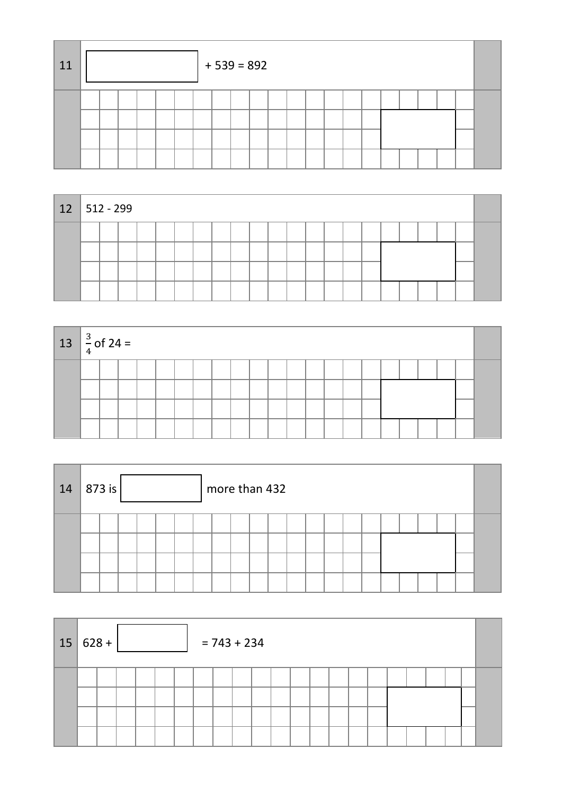| 11 |  |  |  | $+539=892$ |  |  |  |  |  |  |  |
|----|--|--|--|------------|--|--|--|--|--|--|--|
|    |  |  |  |            |  |  |  |  |  |  |  |

| $12 \mid 512 - 299$ |  |  |  |  |  |  |  |  |  |  |  |
|---------------------|--|--|--|--|--|--|--|--|--|--|--|
|                     |  |  |  |  |  |  |  |  |  |  |  |
|                     |  |  |  |  |  |  |  |  |  |  |  |
|                     |  |  |  |  |  |  |  |  |  |  |  |
|                     |  |  |  |  |  |  |  |  |  |  |  |

| $13 \left  \frac{3}{4} \right.$ of 24 = |  |  |  |  |  |  |  |  |  |  |  |
|-----------------------------------------|--|--|--|--|--|--|--|--|--|--|--|
|                                         |  |  |  |  |  |  |  |  |  |  |  |
|                                         |  |  |  |  |  |  |  |  |  |  |  |
|                                         |  |  |  |  |  |  |  |  |  |  |  |
|                                         |  |  |  |  |  |  |  |  |  |  |  |

| 14 | 873 is |  |  | more than 432 |  |  |  |  |  |  |  |
|----|--------|--|--|---------------|--|--|--|--|--|--|--|
|    |        |  |  |               |  |  |  |  |  |  |  |

|  | $15 628+$<br>$= 743 + 234$ |  |  |  |  |  |  |  |  |  |  |  |  |  |  |  |  |
|--|----------------------------|--|--|--|--|--|--|--|--|--|--|--|--|--|--|--|--|
|  |                            |  |  |  |  |  |  |  |  |  |  |  |  |  |  |  |  |
|  |                            |  |  |  |  |  |  |  |  |  |  |  |  |  |  |  |  |
|  |                            |  |  |  |  |  |  |  |  |  |  |  |  |  |  |  |  |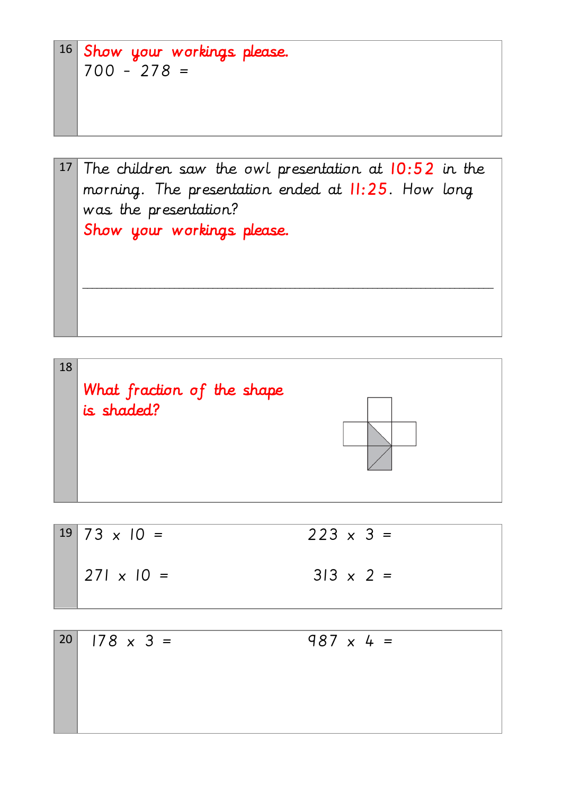$$
\begin{array}{c|c}\n16 & \text{Show your working} & \text{please.} \\
700 - 278 & = & \\
\end{array}
$$

17 The children saw the owl presentation at  $10:52$  in the morning. The presentation ended at 11:25. How long was the presentation? Show your workings please.

\_\_\_\_\_\_\_\_\_\_\_\_\_\_\_\_\_\_\_\_\_\_\_\_\_\_\_\_\_\_\_\_\_\_\_\_\_\_\_\_\_\_\_\_\_\_\_\_\_\_\_\_\_\_\_\_\_\_\_\_\_\_\_\_\_\_\_\_\_\_\_\_\_\_\_\_\_\_\_\_\_\_\_\_\_



| $ 19 73 \times 10 =$ | $223 \times 3 =$ |
|----------------------|------------------|
| $ 271 \times 10 =$   | $313 \times 2 =$ |